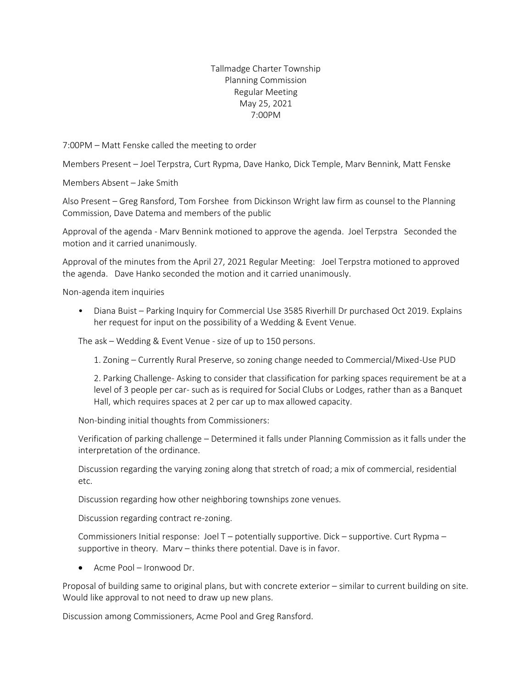## Tallmadge Charter Township Planning Commission Regular Meeting May 25, 2021 7:00PM

7:00PM – Matt Fenske called the meeting to order

Members Present – Joel Terpstra, Curt Rypma, Dave Hanko, Dick Temple, Marv Bennink, Matt Fenske

Members Absent – Jake Smith

Also Present – Greg Ransford, Tom Forshee from Dickinson Wright law firm as counsel to the Planning Commission, Dave Datema and members of the public

Approval of the agenda - Marv Bennink motioned to approve the agenda. Joel Terpstra Seconded the motion and it carried unanimously.

Approval of the minutes from the April 27, 2021 Regular Meeting: Joel Terpstra motioned to approved the agenda. Dave Hanko seconded the motion and it carried unanimously.

Non-agenda item inquiries

• Diana Buist – Parking Inquiry for Commercial Use 3585 Riverhill Dr purchased Oct 2019. Explains her request for input on the possibility of a Wedding & Event Venue.

The ask – Wedding & Event Venue - size of up to 150 persons.

1. Zoning – Currently Rural Preserve, so zoning change needed to Commercial/Mixed-Use PUD

2. Parking Challenge- Asking to consider that classification for parking spaces requirement be at a level of 3 people per car- such as is required for Social Clubs or Lodges, rather than as a Banquet Hall, which requires spaces at 2 per car up to max allowed capacity.

Non-binding initial thoughts from Commissioners:

Verification of parking challenge – Determined it falls under Planning Commission as it falls under the interpretation of the ordinance.

Discussion regarding the varying zoning along that stretch of road; a mix of commercial, residential etc.

Discussion regarding how other neighboring townships zone venues.

Discussion regarding contract re-zoning.

Commissioners Initial response: Joel  $T$  – potentially supportive. Dick – supportive. Curt Rypma – supportive in theory. Marv – thinks there potential. Dave is in favor.

• Acme Pool – Ironwood Dr.

Proposal of building same to original plans, but with concrete exterior – similar to current building on site. Would like approval to not need to draw up new plans.

Discussion among Commissioners, Acme Pool and Greg Ransford.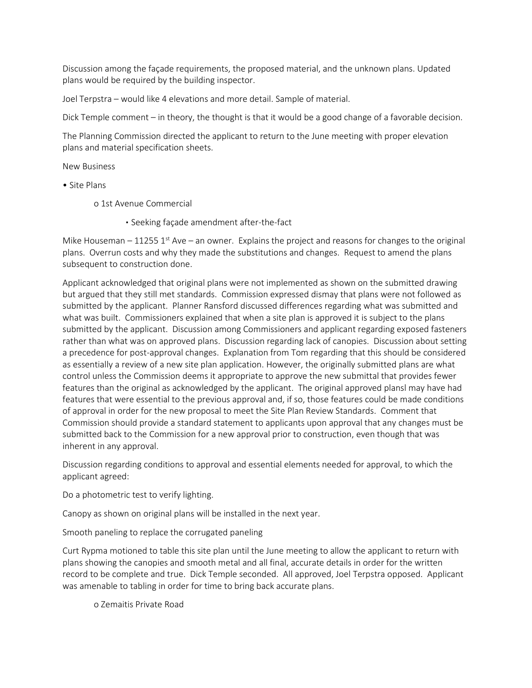Discussion among the façade requirements, the proposed material, and the unknown plans. Updated plans would be required by the building inspector.

Joel Terpstra – would like 4 elevations and more detail. Sample of material.

Dick Temple comment – in theory, the thought is that it would be a good change of a favorable decision.

The Planning Commission directed the applicant to return to the June meeting with proper elevation plans and material specification sheets.

New Business

- Site Plans
	- o 1st Avenue Commercial

▪ Seeking façade amendment after-the-fact

Mike Houseman – 11255 1<sup>st</sup> Ave – an owner. Explains the project and reasons for changes to the original plans. Overrun costs and why they made the substitutions and changes. Request to amend the plans subsequent to construction done.

Applicant acknowledged that original plans were not implemented as shown on the submitted drawing but argued that they still met standards. Commission expressed dismay that plans were not followed as submitted by the applicant. Planner Ransford discussed differences regarding what was submitted and what was built. Commissioners explained that when a site plan is approved it is subject to the plans submitted by the applicant. Discussion among Commissioners and applicant regarding exposed fasteners rather than what was on approved plans. Discussion regarding lack of canopies. Discussion about setting a precedence for post-approval changes. Explanation from Tom regarding that this should be considered as essentially a review of a new site plan application. However, the originally submitted plans are what control unless the Commission deems it appropriate to approve the new submittal that provides fewer features than the original as acknowledged by the applicant. The original approved plansl may have had features that were essential to the previous approval and, if so, those features could be made conditions of approval in order for the new proposal to meet the Site Plan Review Standards. Comment that Commission should provide a standard statement to applicants upon approval that any changes must be submitted back to the Commission for a new approval prior to construction, even though that was inherent in any approval.

Discussion regarding conditions to approval and essential elements needed for approval, to which the applicant agreed:

Do a photometric test to verify lighting.

Canopy as shown on original plans will be installed in the next year.

Smooth paneling to replace the corrugated paneling

Curt Rypma motioned to table this site plan until the June meeting to allow the applicant to return with plans showing the canopies and smooth metal and all final, accurate details in order for the written record to be complete and true. Dick Temple seconded. All approved, Joel Terpstra opposed. Applicant was amenable to tabling in order for time to bring back accurate plans.

o Zemaitis Private Road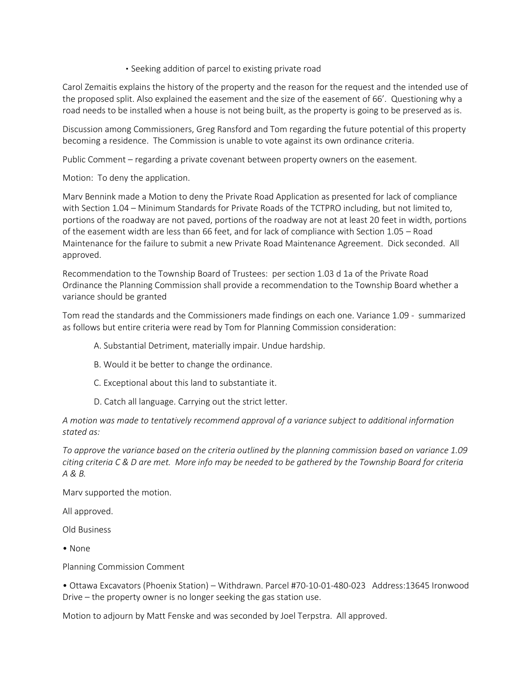## • Seeking addition of parcel to existing private road

Carol Zemaitis explains the history of the property and the reason for the request and the intended use of the proposed split. Also explained the easement and the size of the easement of 66'. Questioning why a road needs to be installed when a house is not being built, as the property is going to be preserved as is.

Discussion among Commissioners, Greg Ransford and Tom regarding the future potential of this property becoming a residence. The Commission is unable to vote against its own ordinance criteria.

Public Comment – regarding a private covenant between property owners on the easement.

Motion: To deny the application.

Marv Bennink made a Motion to deny the Private Road Application as presented for lack of compliance with Section 1.04 – Minimum Standards for Private Roads of the TCTPRO including, but not limited to, portions of the roadway are not paved, portions of the roadway are not at least 20 feet in width, portions of the easement width are less than 66 feet, and for lack of compliance with Section 1.05 – Road Maintenance for the failure to submit a new Private Road Maintenance Agreement. Dick seconded. All approved.

Recommendation to the Township Board of Trustees: per section 1.03 d 1a of the Private Road Ordinance the Planning Commission shall provide a recommendation to the Township Board whether a variance should be granted

Tom read the standards and the Commissioners made findings on each one. Variance 1.09 - summarized as follows but entire criteria were read by Tom for Planning Commission consideration:

A. Substantial Detriment, materially impair. Undue hardship.

- B. Would it be better to change the ordinance.
- C. Exceptional about this land to substantiate it.
- D. Catch all language. Carrying out the strict letter.

*A motion was made to tentatively recommend approval of a variance subject to additional information stated as:*

*To approve the variance based on the criteria outlined by the planning commission based on variance 1.09 citing criteria C & D are met. More info may be needed to be gathered by the Township Board for criteria A & B.* 

Marv supported the motion.

All approved.

Old Business

• None

Planning Commission Comment

• Ottawa Excavators (Phoenix Station) – Withdrawn. Parcel #70-10-01-480-023 Address:13645 Ironwood Drive – the property owner is no longer seeking the gas station use.

Motion to adjourn by Matt Fenske and was seconded by Joel Terpstra. All approved.